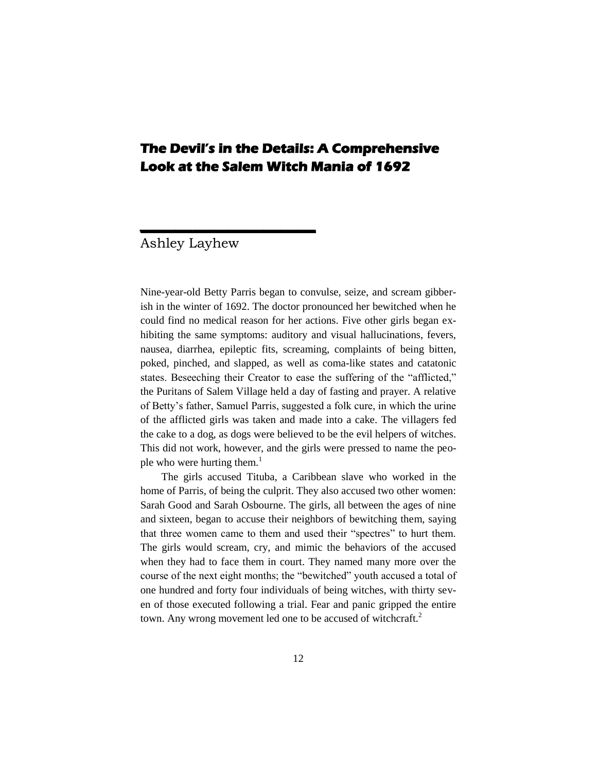# **The Devil's in the Details: A Comprehensive Look at the Salem Witch Mania of 1692**

# Ashley Layhew

 $\overline{\phantom{a}}$ 

Nine-year-old Betty Parris began to convulse, seize, and scream gibberish in the winter of 1692. The doctor pronounced her bewitched when he could find no medical reason for her actions. Five other girls began exhibiting the same symptoms: auditory and visual hallucinations, fevers, nausea, diarrhea, epileptic fits, screaming, complaints of being bitten, poked, pinched, and slapped, as well as coma-like states and catatonic states. Beseeching their Creator to ease the suffering of the "afflicted," the Puritans of Salem Village held a day of fasting and prayer. A relative of Betty's father, Samuel Parris, suggested a folk cure, in which the urine of the afflicted girls was taken and made into a cake. The villagers fed the cake to a dog, as dogs were believed to be the evil helpers of witches. This did not work, however, and the girls were pressed to name the people who were hurting them.<sup>1</sup>

The girls accused Tituba, a Caribbean slave who worked in the home of Parris, of being the culprit. They also accused two other women: Sarah Good and Sarah Osbourne. The girls, all between the ages of nine and sixteen, began to accuse their neighbors of bewitching them, saying that three women came to them and used their "spectres" to hurt them. The girls would scream, cry, and mimic the behaviors of the accused when they had to face them in court. They named many more over the course of the next eight months; the "bewitched" youth accused a total of one hundred and forty four individuals of being witches, with thirty seven of those executed following a trial. Fear and panic gripped the entire town. Any wrong movement led one to be accused of witchcraft.<sup>2</sup>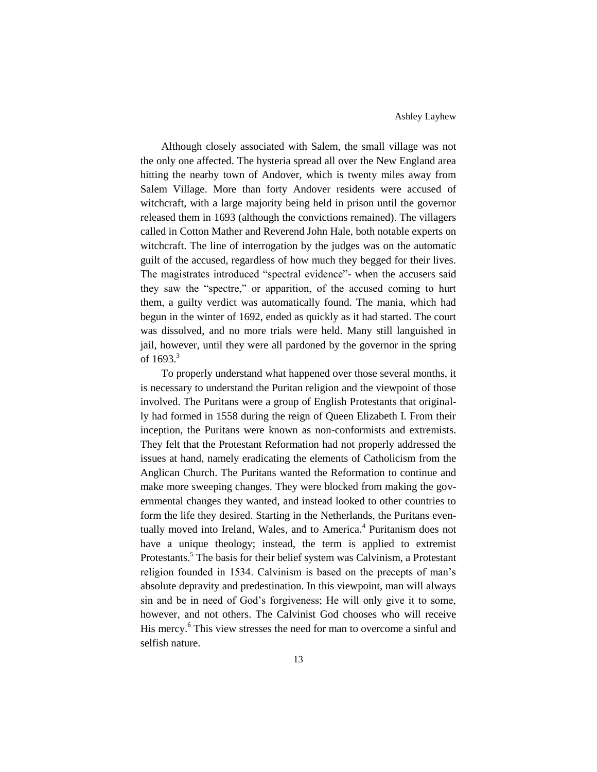Although closely associated with Salem, the small village was not the only one affected. The hysteria spread all over the New England area hitting the nearby town of Andover, which is twenty miles away from Salem Village. More than forty Andover residents were accused of witchcraft, with a large majority being held in prison until the governor released them in 1693 (although the convictions remained). The villagers called in Cotton Mather and Reverend John Hale, both notable experts on witchcraft. The line of interrogation by the judges was on the automatic guilt of the accused, regardless of how much they begged for their lives. The magistrates introduced "spectral evidence"- when the accusers said they saw the "spectre," or apparition, of the accused coming to hurt them, a guilty verdict was automatically found. The mania, which had begun in the winter of 1692, ended as quickly as it had started. The court was dissolved, and no more trials were held. Many still languished in jail, however, until they were all pardoned by the governor in the spring of  $1693.3$ 

To properly understand what happened over those several months, it is necessary to understand the Puritan religion and the viewpoint of those involved. The Puritans were a group of English Protestants that originally had formed in 1558 during the reign of Queen Elizabeth I. From their inception, the Puritans were known as non-conformists and extremists. They felt that the Protestant Reformation had not properly addressed the issues at hand, namely eradicating the elements of Catholicism from the Anglican Church. The Puritans wanted the Reformation to continue and make more sweeping changes. They were blocked from making the governmental changes they wanted, and instead looked to other countries to form the life they desired. Starting in the Netherlands, the Puritans eventually moved into Ireland, Wales, and to America.<sup>4</sup> Puritanism does not have a unique theology; instead, the term is applied to extremist Protestants.<sup>5</sup> The basis for their belief system was Calvinism, a Protestant religion founded in 1534. Calvinism is based on the precepts of man's absolute depravity and predestination. In this viewpoint, man will always sin and be in need of God's forgiveness; He will only give it to some, however, and not others. The Calvinist God chooses who will receive His mercy.<sup>6</sup> This view stresses the need for man to overcome a sinful and selfish nature.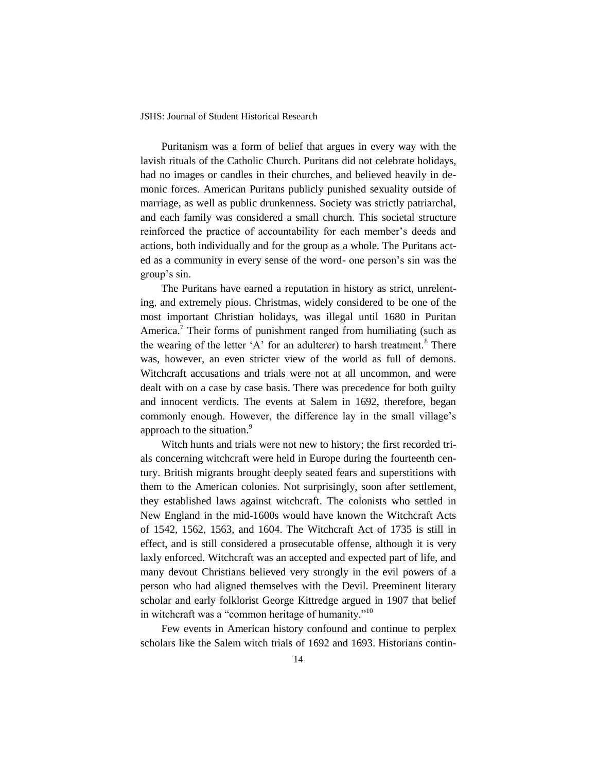Puritanism was a form of belief that argues in every way with the lavish rituals of the Catholic Church. Puritans did not celebrate holidays, had no images or candles in their churches, and believed heavily in demonic forces. American Puritans publicly punished sexuality outside of marriage, as well as public drunkenness. Society was strictly patriarchal, and each family was considered a small church. This societal structure reinforced the practice of accountability for each member's deeds and actions, both individually and for the group as a whole. The Puritans acted as a community in every sense of the word- one person's sin was the group's sin.

The Puritans have earned a reputation in history as strict, unrelenting, and extremely pious. Christmas, widely considered to be one of the most important Christian holidays, was illegal until 1680 in Puritan America.<sup>7</sup> Their forms of punishment ranged from humiliating (such as the wearing of the letter 'A' for an adulterer) to harsh treatment.<sup>8</sup> There was, however, an even stricter view of the world as full of demons. Witchcraft accusations and trials were not at all uncommon, and were dealt with on a case by case basis. There was precedence for both guilty and innocent verdicts. The events at Salem in 1692, therefore, began commonly enough. However, the difference lay in the small village's approach to the situation.<sup>9</sup>

Witch hunts and trials were not new to history; the first recorded trials concerning witchcraft were held in Europe during the fourteenth century. British migrants brought deeply seated fears and superstitions with them to the American colonies. Not surprisingly, soon after settlement, they established laws against witchcraft. The colonists who settled in New England in the mid-1600s would have known the Witchcraft Acts of 1542, 1562, 1563, and 1604. The Witchcraft Act of 1735 is still in effect, and is still considered a prosecutable offense, although it is very laxly enforced. Witchcraft was an accepted and expected part of life, and many devout Christians believed very strongly in the evil powers of a person who had aligned themselves with the Devil. Preeminent literary scholar and early folklorist George Kittredge argued in 1907 that belief in witchcraft was a "common heritage of humanity."<sup>10</sup>

Few events in American history confound and continue to perplex scholars like the Salem witch trials of 1692 and 1693. Historians contin-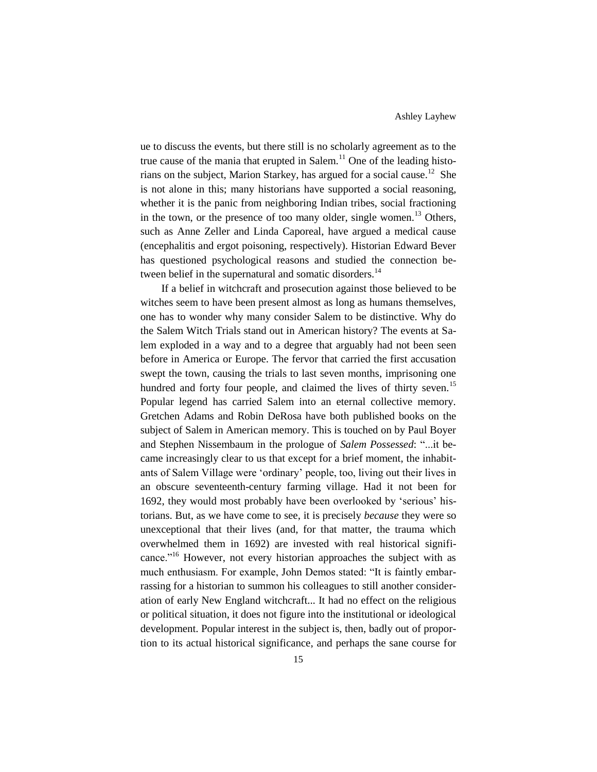ue to discuss the events, but there still is no scholarly agreement as to the true cause of the mania that erupted in Salem.<sup>11</sup> One of the leading historians on the subject, Marion Starkey, has argued for a social cause.<sup>12</sup> She is not alone in this; many historians have supported a social reasoning, whether it is the panic from neighboring Indian tribes, social fractioning in the town, or the presence of too many older, single women.<sup>13</sup> Others, such as Anne Zeller and Linda Caporeal, have argued a medical cause (encephalitis and ergot poisoning, respectively). Historian Edward Bever has questioned psychological reasons and studied the connection between belief in the supernatural and somatic disorders.<sup>14</sup>

If a belief in witchcraft and prosecution against those believed to be witches seem to have been present almost as long as humans themselves, one has to wonder why many consider Salem to be distinctive. Why do the Salem Witch Trials stand out in American history? The events at Salem exploded in a way and to a degree that arguably had not been seen before in America or Europe. The fervor that carried the first accusation swept the town, causing the trials to last seven months, imprisoning one hundred and forty four people, and claimed the lives of thirty seven.<sup>15</sup> Popular legend has carried Salem into an eternal collective memory. Gretchen Adams and Robin DeRosa have both published books on the subject of Salem in American memory. This is touched on by Paul Boyer and Stephen Nissembaum in the prologue of *Salem Possessed*: "...it became increasingly clear to us that except for a brief moment, the inhabitants of Salem Village were 'ordinary' people, too, living out their lives in an obscure seventeenth-century farming village. Had it not been for 1692, they would most probably have been overlooked by 'serious' historians. But, as we have come to see, it is precisely *because* they were so unexceptional that their lives (and, for that matter, the trauma which overwhelmed them in 1692) are invested with real historical significance."<sup>16</sup> However, not every historian approaches the subject with as much enthusiasm. For example, John Demos stated: "It is faintly embarrassing for a historian to summon his colleagues to still another consideration of early New England witchcraft... It had no effect on the religious or political situation, it does not figure into the institutional or ideological development. Popular interest in the subject is, then, badly out of proportion to its actual historical significance, and perhaps the sane course for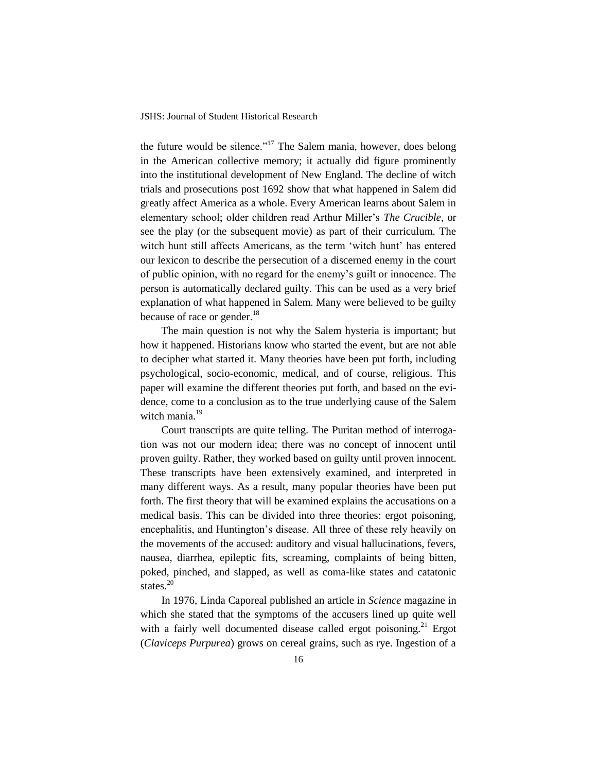the future would be silence."<sup>17</sup> The Salem mania, however, does belong in the American collective memory; it actually did figure prominently into the institutional development of New England. The decline of witch trials and prosecutions post 1692 show that what happened in Salem did greatly affect America as a whole. Every American learns about Salem in elementary school; older children read Arthur Miller's *The Crucible*, or see the play (or the subsequent movie) as part of their curriculum. The witch hunt still affects Americans, as the term 'witch hunt' has entered our lexicon to describe the persecution of a discerned enemy in the court of public opinion, with no regard for the enemy's guilt or innocence. The person is automatically declared guilty. This can be used as a very brief explanation of what happened in Salem. Many were believed to be guilty because of race or gender.<sup>18</sup>

The main question is not why the Salem hysteria is important; but how it happened. Historians know who started the event, but are not able to decipher what started it. Many theories have been put forth, including psychological, socio-economic, medical, and of course, religious. This paper will examine the different theories put forth, and based on the evidence, come to a conclusion as to the true underlying cause of the Salem witch mania.<sup>19</sup>

Court transcripts are quite telling. The Puritan method of interrogation was not our modern idea; there was no concept of innocent until proven guilty. Rather, they worked based on guilty until proven innocent. These transcripts have been extensively examined, and interpreted in many different ways. As a result, many popular theories have been put forth. The first theory that will be examined explains the accusations on a medical basis. This can be divided into three theories: ergot poisoning, encephalitis, and Huntington's disease. All three of these rely heavily on the movements of the accused: auditory and visual hallucinations, fevers, nausea, diarrhea, epileptic fits, screaming, complaints of being bitten, poked, pinched, and slapped, as well as coma-like states and catatonic states.<sup>20</sup>

In 1976, Linda Caporeal published an article in *Science* magazine in which she stated that the symptoms of the accusers lined up quite well with a fairly well documented disease called ergot poisoning.<sup>21</sup> Ergot (*Claviceps Purpurea*) grows on cereal grains, such as rye. Ingestion of a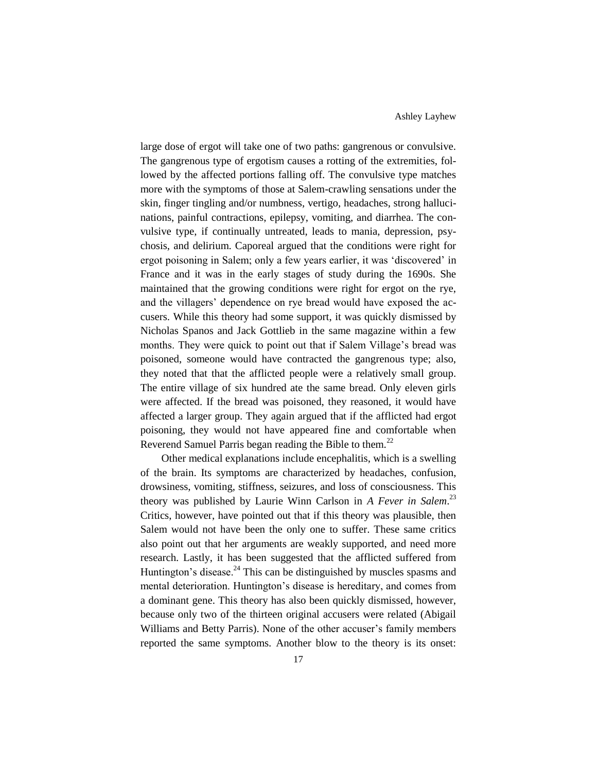large dose of ergot will take one of two paths: gangrenous or convulsive. The gangrenous type of ergotism causes a rotting of the extremities, followed by the affected portions falling off. The convulsive type matches more with the symptoms of those at Salem-crawling sensations under the skin, finger tingling and/or numbness, vertigo, headaches, strong hallucinations, painful contractions, epilepsy, vomiting, and diarrhea. The convulsive type, if continually untreated, leads to mania, depression, psychosis, and delirium. Caporeal argued that the conditions were right for ergot poisoning in Salem; only a few years earlier, it was 'discovered' in France and it was in the early stages of study during the 1690s. She maintained that the growing conditions were right for ergot on the rye, and the villagers' dependence on rye bread would have exposed the accusers. While this theory had some support, it was quickly dismissed by Nicholas Spanos and Jack Gottlieb in the same magazine within a few months. They were quick to point out that if Salem Village's bread was poisoned, someone would have contracted the gangrenous type; also, they noted that that the afflicted people were a relatively small group. The entire village of six hundred ate the same bread. Only eleven girls were affected. If the bread was poisoned, they reasoned, it would have affected a larger group. They again argued that if the afflicted had ergot poisoning, they would not have appeared fine and comfortable when Reverend Samuel Parris began reading the Bible to them.<sup>22</sup>

Other medical explanations include encephalitis, which is a swelling of the brain. Its symptoms are characterized by headaches, confusion, drowsiness, vomiting, stiffness, seizures, and loss of consciousness. This theory was published by Laurie Winn Carlson in *A Fever in Salem*. 23 Critics, however, have pointed out that if this theory was plausible, then Salem would not have been the only one to suffer. These same critics also point out that her arguments are weakly supported, and need more research. Lastly, it has been suggested that the afflicted suffered from Huntington's disease.<sup>24</sup> This can be distinguished by muscles spasms and mental deterioration. Huntington's disease is hereditary, and comes from a dominant gene. This theory has also been quickly dismissed, however, because only two of the thirteen original accusers were related (Abigail Williams and Betty Parris). None of the other accuser's family members reported the same symptoms. Another blow to the theory is its onset: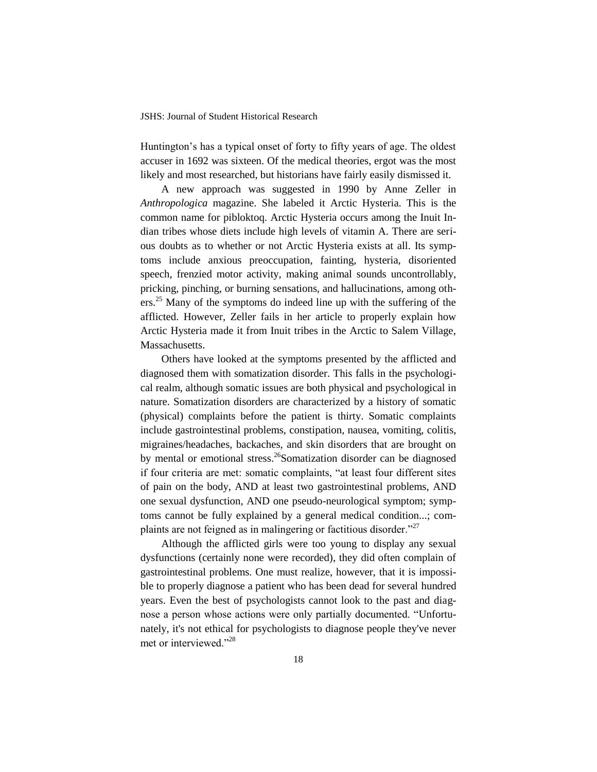Huntington's has a typical onset of forty to fifty years of age. The oldest accuser in 1692 was sixteen. Of the medical theories, ergot was the most likely and most researched, but historians have fairly easily dismissed it.

A new approach was suggested in 1990 by Anne Zeller in *Anthropologica* magazine. She labeled it Arctic Hysteria. This is the common name for pibloktoq. Arctic Hysteria occurs among the Inuit Indian tribes whose diets include high levels of vitamin A. There are serious doubts as to whether or not Arctic Hysteria exists at all. Its symptoms include anxious preoccupation, fainting, hysteria, disoriented speech, frenzied motor activity, making animal sounds uncontrollably, pricking, pinching, or burning sensations, and hallucinations, among others.<sup>25</sup> Many of the symptoms do indeed line up with the suffering of the afflicted. However, Zeller fails in her article to properly explain how Arctic Hysteria made it from Inuit tribes in the Arctic to Salem Village, Massachusetts.

Others have looked at the symptoms presented by the afflicted and diagnosed them with somatization disorder. This falls in the psychological realm, although somatic issues are both physical and psychological in nature. Somatization disorders are characterized by a history of somatic (physical) complaints before the patient is thirty. Somatic complaints include gastrointestinal problems, constipation, nausea, vomiting, colitis, migraines/headaches, backaches, and skin disorders that are brought on by mental or emotional stress.<sup>26</sup>Somatization disorder can be diagnosed if four criteria are met: somatic complaints, "at least four different sites of pain on the body, AND at least two gastrointestinal problems, AND one sexual dysfunction, AND one pseudo-neurological symptom; symptoms cannot be fully explained by a general medical condition...; complaints are not feigned as in malingering or factitious disorder."<sup>27</sup>

Although the afflicted girls were too young to display any sexual dysfunctions (certainly none were recorded), they did often complain of gastrointestinal problems. One must realize, however, that it is impossible to properly diagnose a patient who has been dead for several hundred years. Even the best of psychologists cannot look to the past and diagnose a person whose actions were only partially documented. "Unfortunately, it's not ethical for psychologists to diagnose people they've never met or interviewed."<sup>28</sup>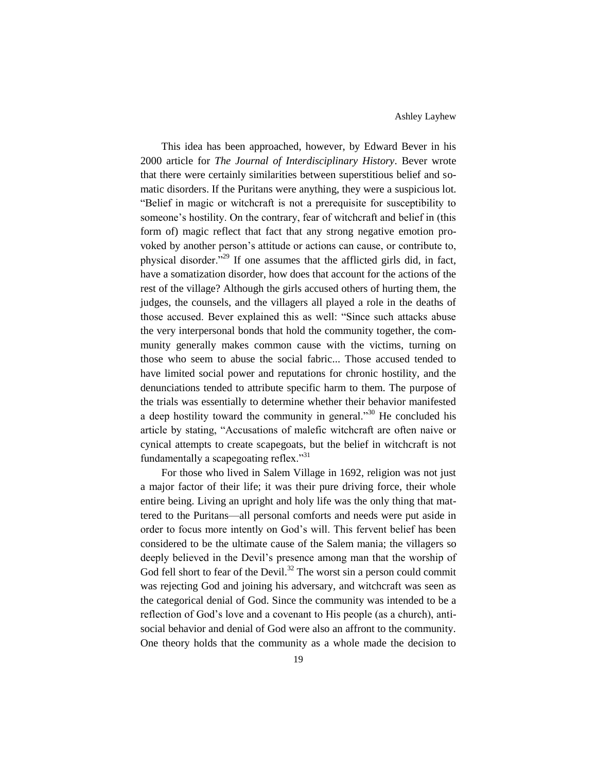This idea has been approached, however, by Edward Bever in his 2000 article for *The Journal of Interdisciplinary History*. Bever wrote that there were certainly similarities between superstitious belief and somatic disorders. If the Puritans were anything, they were a suspicious lot. "Belief in magic or witchcraft is not a prerequisite for susceptibility to someone's hostility. On the contrary, fear of witchcraft and belief in (this form of) magic reflect that fact that any strong negative emotion provoked by another person's attitude or actions can cause, or contribute to, physical disorder."<sup>29</sup> If one assumes that the afflicted girls did, in fact, have a somatization disorder, how does that account for the actions of the rest of the village? Although the girls accused others of hurting them, the judges, the counsels, and the villagers all played a role in the deaths of those accused. Bever explained this as well: "Since such attacks abuse the very interpersonal bonds that hold the community together, the community generally makes common cause with the victims, turning on those who seem to abuse the social fabric... Those accused tended to have limited social power and reputations for chronic hostility, and the denunciations tended to attribute specific harm to them. The purpose of the trials was essentially to determine whether their behavior manifested a deep hostility toward the community in general. $1^{30}$  He concluded his article by stating, "Accusations of malefic witchcraft are often naive or cynical attempts to create scapegoats, but the belief in witchcraft is not fundamentally a scapegoating reflex."<sup>31</sup>

For those who lived in Salem Village in 1692, religion was not just a major factor of their life; it was their pure driving force, their whole entire being. Living an upright and holy life was the only thing that mattered to the Puritans—all personal comforts and needs were put aside in order to focus more intently on God's will. This fervent belief has been considered to be the ultimate cause of the Salem mania; the villagers so deeply believed in the Devil's presence among man that the worship of God fell short to fear of the Devil.<sup>32</sup> The worst sin a person could commit was rejecting God and joining his adversary, and witchcraft was seen as the categorical denial of God. Since the community was intended to be a reflection of God's love and a covenant to His people (as a church), antisocial behavior and denial of God were also an affront to the community. One theory holds that the community as a whole made the decision to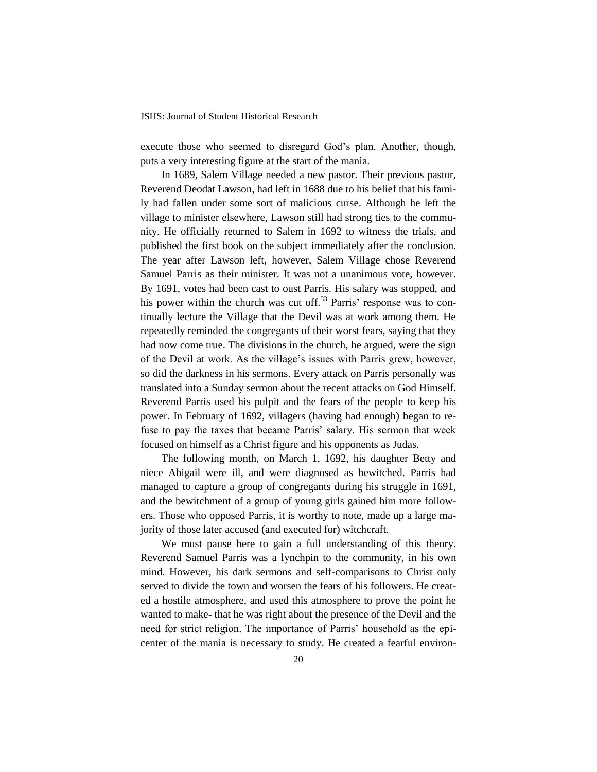execute those who seemed to disregard God's plan. Another, though, puts a very interesting figure at the start of the mania.

In 1689, Salem Village needed a new pastor. Their previous pastor, Reverend Deodat Lawson, had left in 1688 due to his belief that his family had fallen under some sort of malicious curse. Although he left the village to minister elsewhere, Lawson still had strong ties to the community. He officially returned to Salem in 1692 to witness the trials, and published the first book on the subject immediately after the conclusion. The year after Lawson left, however, Salem Village chose Reverend Samuel Parris as their minister. It was not a unanimous vote, however. By 1691, votes had been cast to oust Parris. His salary was stopped, and his power within the church was cut off.<sup>33</sup> Parris' response was to continually lecture the Village that the Devil was at work among them. He repeatedly reminded the congregants of their worst fears, saying that they had now come true. The divisions in the church, he argued, were the sign of the Devil at work. As the village's issues with Parris grew, however, so did the darkness in his sermons. Every attack on Parris personally was translated into a Sunday sermon about the recent attacks on God Himself. Reverend Parris used his pulpit and the fears of the people to keep his power. In February of 1692, villagers (having had enough) began to refuse to pay the taxes that became Parris' salary. His sermon that week focused on himself as a Christ figure and his opponents as Judas.

The following month, on March 1, 1692, his daughter Betty and niece Abigail were ill, and were diagnosed as bewitched. Parris had managed to capture a group of congregants during his struggle in 1691, and the bewitchment of a group of young girls gained him more followers. Those who opposed Parris, it is worthy to note, made up a large majority of those later accused (and executed for) witchcraft.

We must pause here to gain a full understanding of this theory. Reverend Samuel Parris was a lynchpin to the community, in his own mind. However, his dark sermons and self-comparisons to Christ only served to divide the town and worsen the fears of his followers. He created a hostile atmosphere, and used this atmosphere to prove the point he wanted to make- that he was right about the presence of the Devil and the need for strict religion. The importance of Parris' household as the epicenter of the mania is necessary to study. He created a fearful environ-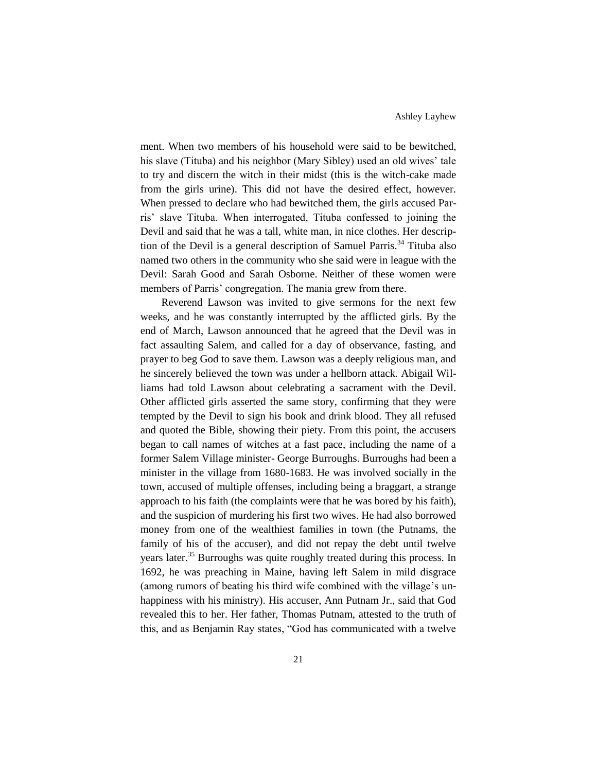ment. When two members of his household were said to be bewitched, his slave (Tituba) and his neighbor (Mary Sibley) used an old wives' tale to try and discern the witch in their midst (this is the witch-cake made from the girls urine). This did not have the desired effect, however. When pressed to declare who had bewitched them, the girls accused Parris' slave Tituba. When interrogated, Tituba confessed to joining the Devil and said that he was a tall, white man, in nice clothes. Her description of the Devil is a general description of Samuel Parris.<sup>34</sup> Tituba also named two others in the community who she said were in league with the Devil: Sarah Good and Sarah Osborne. Neither of these women were members of Parris' congregation. The mania grew from there.

Reverend Lawson was invited to give sermons for the next few weeks, and he was constantly interrupted by the afflicted girls. By the end of March, Lawson announced that he agreed that the Devil was in fact assaulting Salem, and called for a day of observance, fasting, and prayer to beg God to save them. Lawson was a deeply religious man, and he sincerely believed the town was under a hellborn attack. Abigail Williams had told Lawson about celebrating a sacrament with the Devil. Other afflicted girls asserted the same story, confirming that they were tempted by the Devil to sign his book and drink blood. They all refused and quoted the Bible, showing their piety. From this point, the accusers began to call names of witches at a fast pace, including the name of a former Salem Village minister- George Burroughs. Burroughs had been a minister in the village from 1680-1683. He was involved socially in the town, accused of multiple offenses, including being a braggart, a strange approach to his faith (the complaints were that he was bored by his faith), and the suspicion of murdering his first two wives. He had also borrowed money from one of the wealthiest families in town (the Putnams, the family of his of the accuser), and did not repay the debt until twelve years later.<sup>35</sup> Burroughs was quite roughly treated during this process. In 1692, he was preaching in Maine, having left Salem in mild disgrace (among rumors of beating his third wife combined with the village's unhappiness with his ministry). His accuser, Ann Putnam Jr., said that God revealed this to her. Her father, Thomas Putnam, attested to the truth of this, and as Benjamin Ray states, "God has communicated with a twelve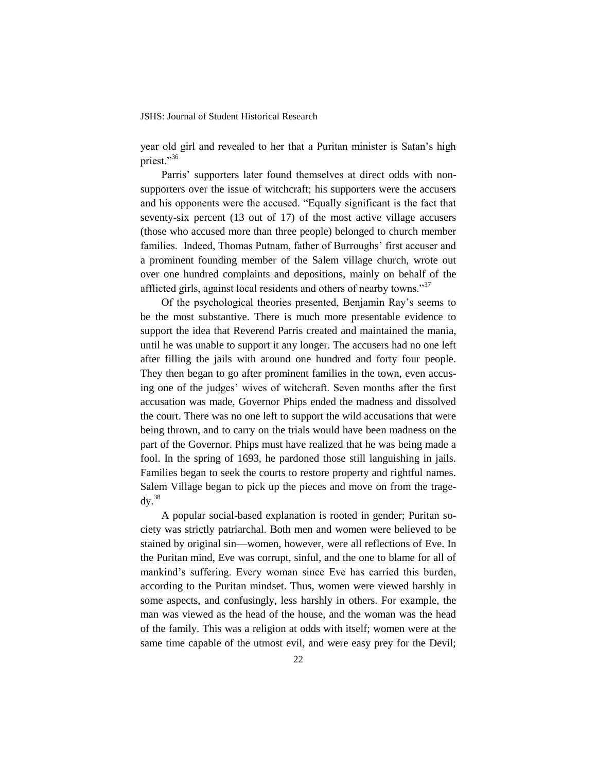year old girl and revealed to her that a Puritan minister is Satan's high priest."36

Parris' supporters later found themselves at direct odds with nonsupporters over the issue of witchcraft; his supporters were the accusers and his opponents were the accused. "Equally significant is the fact that seventy-six percent (13 out of 17) of the most active village accusers (those who accused more than three people) belonged to church member families. Indeed, Thomas Putnam, father of Burroughs' first accuser and a prominent founding member of the Salem village church, wrote out over one hundred complaints and depositions, mainly on behalf of the afflicted girls, against local residents and others of nearby towns."<sup>37</sup>

Of the psychological theories presented, Benjamin Ray's seems to be the most substantive. There is much more presentable evidence to support the idea that Reverend Parris created and maintained the mania, until he was unable to support it any longer. The accusers had no one left after filling the jails with around one hundred and forty four people. They then began to go after prominent families in the town, even accusing one of the judges' wives of witchcraft. Seven months after the first accusation was made, Governor Phips ended the madness and dissolved the court. There was no one left to support the wild accusations that were being thrown, and to carry on the trials would have been madness on the part of the Governor. Phips must have realized that he was being made a fool. In the spring of 1693, he pardoned those still languishing in jails. Families began to seek the courts to restore property and rightful names. Salem Village began to pick up the pieces and move on from the trage $dv.<sup>38</sup>$ 

A popular social-based explanation is rooted in gender; Puritan society was strictly patriarchal. Both men and women were believed to be stained by original sin—women, however, were all reflections of Eve. In the Puritan mind, Eve was corrupt, sinful, and the one to blame for all of mankind's suffering. Every woman since Eve has carried this burden, according to the Puritan mindset. Thus, women were viewed harshly in some aspects, and confusingly, less harshly in others. For example, the man was viewed as the head of the house, and the woman was the head of the family. This was a religion at odds with itself; women were at the same time capable of the utmost evil, and were easy prey for the Devil;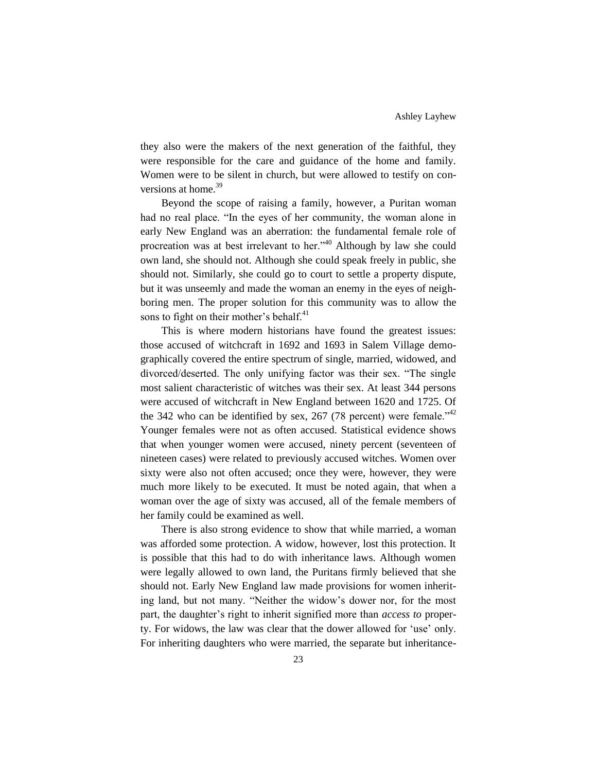they also were the makers of the next generation of the faithful, they were responsible for the care and guidance of the home and family. Women were to be silent in church, but were allowed to testify on conversions at home.<sup>39</sup>

Beyond the scope of raising a family, however, a Puritan woman had no real place. "In the eyes of her community, the woman alone in early New England was an aberration: the fundamental female role of procreation was at best irrelevant to her."<sup>40</sup> Although by law she could own land, she should not. Although she could speak freely in public, she should not. Similarly, she could go to court to settle a property dispute, but it was unseemly and made the woman an enemy in the eyes of neighboring men. The proper solution for this community was to allow the sons to fight on their mother's behalf.<sup>41</sup>

This is where modern historians have found the greatest issues: those accused of witchcraft in 1692 and 1693 in Salem Village demographically covered the entire spectrum of single, married, widowed, and divorced/deserted. The only unifying factor was their sex. "The single most salient characteristic of witches was their sex. At least 344 persons were accused of witchcraft in New England between 1620 and 1725. Of the 342 who can be identified by sex, 267 (78 percent) were female.<sup> $342$ </sup> Younger females were not as often accused. Statistical evidence shows that when younger women were accused, ninety percent (seventeen of nineteen cases) were related to previously accused witches. Women over sixty were also not often accused; once they were, however, they were much more likely to be executed. It must be noted again, that when a woman over the age of sixty was accused, all of the female members of her family could be examined as well.

There is also strong evidence to show that while married, a woman was afforded some protection. A widow, however, lost this protection. It is possible that this had to do with inheritance laws. Although women were legally allowed to own land, the Puritans firmly believed that she should not. Early New England law made provisions for women inheriting land, but not many. "Neither the widow's dower nor, for the most part, the daughter's right to inherit signified more than *access to* property. For widows, the law was clear that the dower allowed for 'use' only. For inheriting daughters who were married, the separate but inheritance-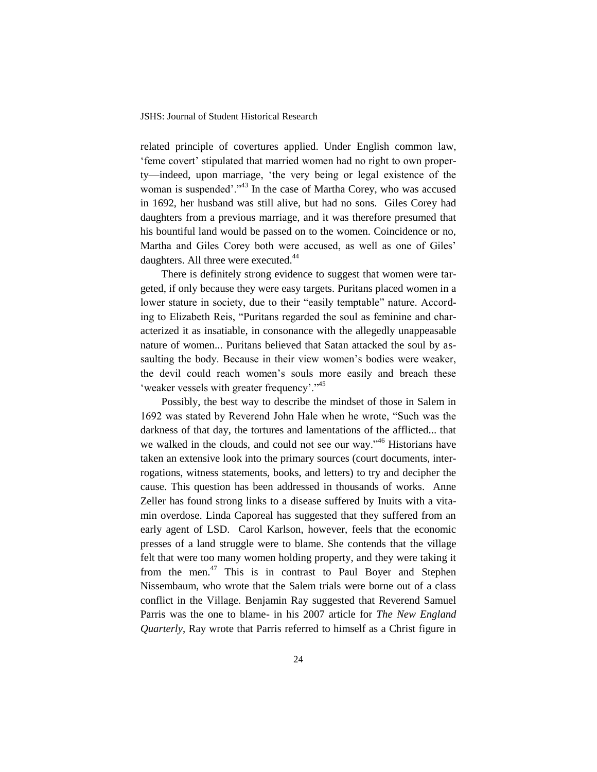related principle of covertures applied. Under English common law, 'feme covert' stipulated that married women had no right to own property—indeed, upon marriage, 'the very being or legal existence of the woman is suspended'."<sup>43</sup> In the case of Martha Corey, who was accused in 1692, her husband was still alive, but had no sons. Giles Corey had daughters from a previous marriage, and it was therefore presumed that his bountiful land would be passed on to the women. Coincidence or no, Martha and Giles Corey both were accused, as well as one of Giles' daughters. All three were executed.<sup>44</sup>

There is definitely strong evidence to suggest that women were targeted, if only because they were easy targets. Puritans placed women in a lower stature in society, due to their "easily temptable" nature. According to Elizabeth Reis, "Puritans regarded the soul as feminine and characterized it as insatiable, in consonance with the allegedly unappeasable nature of women... Puritans believed that Satan attacked the soul by assaulting the body. Because in their view women's bodies were weaker, the devil could reach women's souls more easily and breach these 'weaker vessels with greater frequency'."<sup>45</sup>

Possibly, the best way to describe the mindset of those in Salem in 1692 was stated by Reverend John Hale when he wrote, "Such was the darkness of that day, the tortures and lamentations of the afflicted... that we walked in the clouds, and could not see our way."<sup>46</sup> Historians have taken an extensive look into the primary sources (court documents, interrogations, witness statements, books, and letters) to try and decipher the cause. This question has been addressed in thousands of works. Anne Zeller has found strong links to a disease suffered by Inuits with a vitamin overdose. Linda Caporeal has suggested that they suffered from an early agent of LSD. Carol Karlson, however, feels that the economic presses of a land struggle were to blame. She contends that the village felt that were too many women holding property, and they were taking it from the men.<sup>47</sup> This is in contrast to Paul Boyer and Stephen Nissembaum, who wrote that the Salem trials were borne out of a class conflict in the Village. Benjamin Ray suggested that Reverend Samuel Parris was the one to blame- in his 2007 article for *The New England Quarterly*, Ray wrote that Parris referred to himself as a Christ figure in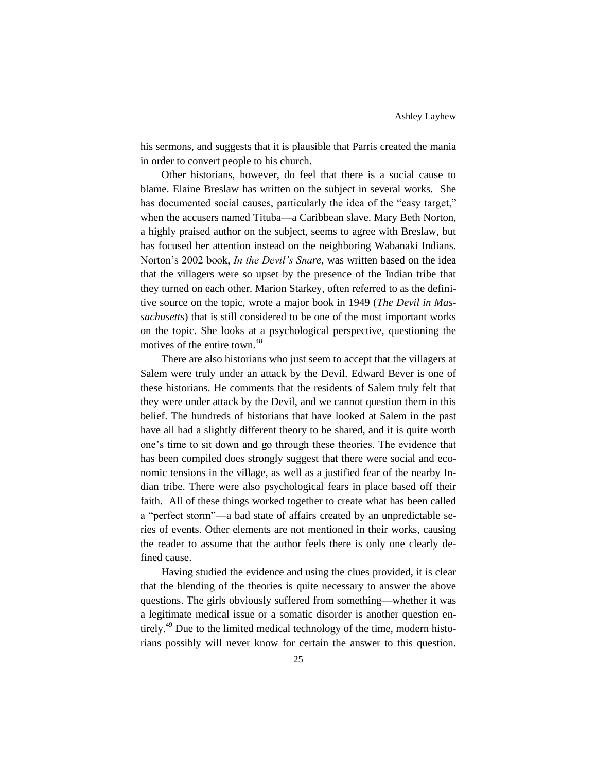his sermons, and suggests that it is plausible that Parris created the mania in order to convert people to his church.

Other historians, however, do feel that there is a social cause to blame. Elaine Breslaw has written on the subject in several works. She has documented social causes, particularly the idea of the "easy target," when the accusers named Tituba—a Caribbean slave. Mary Beth Norton, a highly praised author on the subject, seems to agree with Breslaw, but has focused her attention instead on the neighboring Wabanaki Indians. Norton's 2002 book, *In the Devil's Snare*, was written based on the idea that the villagers were so upset by the presence of the Indian tribe that they turned on each other. Marion Starkey, often referred to as the definitive source on the topic, wrote a major book in 1949 (*The Devil in Massachusetts*) that is still considered to be one of the most important works on the topic. She looks at a psychological perspective, questioning the motives of the entire town.<sup>48</sup>

There are also historians who just seem to accept that the villagers at Salem were truly under an attack by the Devil. Edward Bever is one of these historians. He comments that the residents of Salem truly felt that they were under attack by the Devil, and we cannot question them in this belief. The hundreds of historians that have looked at Salem in the past have all had a slightly different theory to be shared, and it is quite worth one's time to sit down and go through these theories. The evidence that has been compiled does strongly suggest that there were social and economic tensions in the village, as well as a justified fear of the nearby Indian tribe. There were also psychological fears in place based off their faith. All of these things worked together to create what has been called a "perfect storm"—a bad state of affairs created by an unpredictable series of events. Other elements are not mentioned in their works, causing the reader to assume that the author feels there is only one clearly defined cause.

Having studied the evidence and using the clues provided, it is clear that the blending of the theories is quite necessary to answer the above questions. The girls obviously suffered from something—whether it was a legitimate medical issue or a somatic disorder is another question entirely.<sup>49</sup> Due to the limited medical technology of the time, modern historians possibly will never know for certain the answer to this question.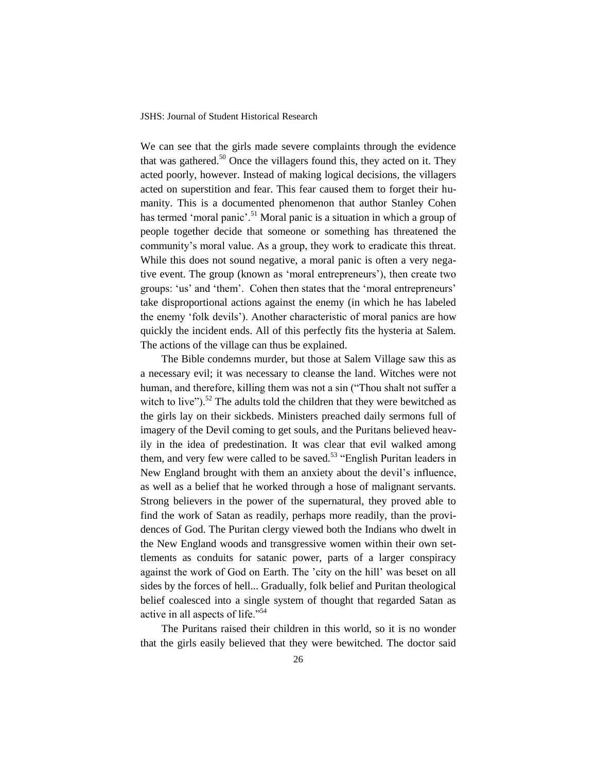We can see that the girls made severe complaints through the evidence that was gathered.<sup>50</sup> Once the villagers found this, they acted on it. They acted poorly, however. Instead of making logical decisions, the villagers acted on superstition and fear. This fear caused them to forget their humanity. This is a documented phenomenon that author Stanley Cohen has termed 'moral panic'.<sup>51</sup> Moral panic is a situation in which a group of people together decide that someone or something has threatened the community's moral value. As a group, they work to eradicate this threat. While this does not sound negative, a moral panic is often a very negative event. The group (known as 'moral entrepreneurs'), then create two groups: 'us' and 'them'. Cohen then states that the 'moral entrepreneurs' take disproportional actions against the enemy (in which he has labeled the enemy 'folk devils'). Another characteristic of moral panics are how quickly the incident ends. All of this perfectly fits the hysteria at Salem. The actions of the village can thus be explained.

The Bible condemns murder, but those at Salem Village saw this as a necessary evil; it was necessary to cleanse the land. Witches were not human, and therefore, killing them was not a sin ("Thou shalt not suffer a witch to live"). $5^2$  The adults told the children that they were bewitched as the girls lay on their sickbeds. Ministers preached daily sermons full of imagery of the Devil coming to get souls, and the Puritans believed heavily in the idea of predestination. It was clear that evil walked among them, and very few were called to be saved.<sup>53</sup> "English Puritan leaders in New England brought with them an anxiety about the devil's influence, as well as a belief that he worked through a hose of malignant servants. Strong believers in the power of the supernatural, they proved able to find the work of Satan as readily, perhaps more readily, than the providences of God. The Puritan clergy viewed both the Indians who dwelt in the New England woods and transgressive women within their own settlements as conduits for satanic power, parts of a larger conspiracy against the work of God on Earth. The 'city on the hill' was beset on all sides by the forces of hell... Gradually, folk belief and Puritan theological belief coalesced into a single system of thought that regarded Satan as active in all aspects of life."<sup>54</sup>

The Puritans raised their children in this world, so it is no wonder that the girls easily believed that they were bewitched. The doctor said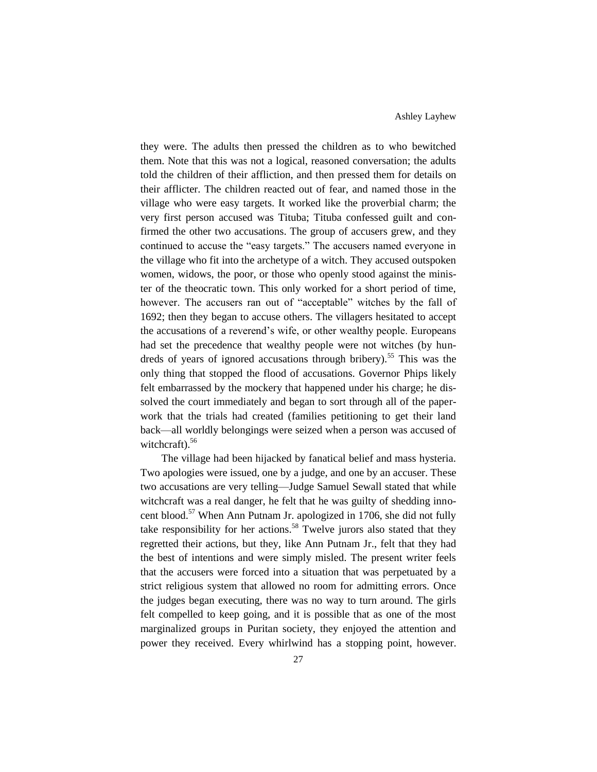they were. The adults then pressed the children as to who bewitched them. Note that this was not a logical, reasoned conversation; the adults told the children of their affliction, and then pressed them for details on their afflicter. The children reacted out of fear, and named those in the village who were easy targets. It worked like the proverbial charm; the very first person accused was Tituba; Tituba confessed guilt and confirmed the other two accusations. The group of accusers grew, and they continued to accuse the "easy targets." The accusers named everyone in the village who fit into the archetype of a witch. They accused outspoken women, widows, the poor, or those who openly stood against the minister of the theocratic town. This only worked for a short period of time, however. The accusers ran out of "acceptable" witches by the fall of 1692; then they began to accuse others. The villagers hesitated to accept the accusations of a reverend's wife, or other wealthy people. Europeans had set the precedence that wealthy people were not witches (by hundreds of years of ignored accusations through bribery).<sup>55</sup> This was the only thing that stopped the flood of accusations. Governor Phips likely felt embarrassed by the mockery that happened under his charge; he dissolved the court immediately and began to sort through all of the paperwork that the trials had created (families petitioning to get their land back—all worldly belongings were seized when a person was accused of witchcraft).<sup>56</sup>

The village had been hijacked by fanatical belief and mass hysteria. Two apologies were issued, one by a judge, and one by an accuser. These two accusations are very telling—Judge Samuel Sewall stated that while witchcraft was a real danger, he felt that he was guilty of shedding innocent blood.<sup>57</sup> When Ann Putnam Jr. apologized in 1706, she did not fully take responsibility for her actions.<sup>58</sup> Twelve jurors also stated that they regretted their actions, but they, like Ann Putnam Jr., felt that they had the best of intentions and were simply misled. The present writer feels that the accusers were forced into a situation that was perpetuated by a strict religious system that allowed no room for admitting errors. Once the judges began executing, there was no way to turn around. The girls felt compelled to keep going, and it is possible that as one of the most marginalized groups in Puritan society, they enjoyed the attention and power they received. Every whirlwind has a stopping point, however.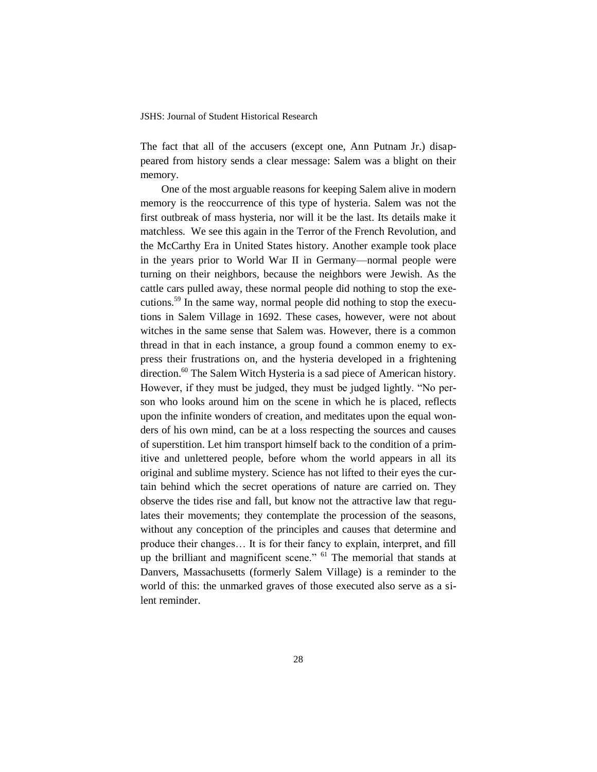The fact that all of the accusers (except one, Ann Putnam Jr.) disappeared from history sends a clear message: Salem was a blight on their memory.

One of the most arguable reasons for keeping Salem alive in modern memory is the reoccurrence of this type of hysteria. Salem was not the first outbreak of mass hysteria, nor will it be the last. Its details make it matchless. We see this again in the Terror of the French Revolution, and the McCarthy Era in United States history. Another example took place in the years prior to World War II in Germany—normal people were turning on their neighbors, because the neighbors were Jewish. As the cattle cars pulled away, these normal people did nothing to stop the executions.<sup>59</sup> In the same way, normal people did nothing to stop the executions in Salem Village in 1692. These cases, however, were not about witches in the same sense that Salem was. However, there is a common thread in that in each instance, a group found a common enemy to express their frustrations on, and the hysteria developed in a frightening direction.<sup>60</sup> The Salem Witch Hysteria is a sad piece of American history. However, if they must be judged, they must be judged lightly. "No person who looks around him on the scene in which he is placed, reflects upon the infinite wonders of creation, and meditates upon the equal wonders of his own mind, can be at a loss respecting the sources and causes of superstition. Let him transport himself back to the condition of a primitive and unlettered people, before whom the world appears in all its original and sublime mystery. Science has not lifted to their eyes the curtain behind which the secret operations of nature are carried on. They observe the tides rise and fall, but know not the attractive law that regulates their movements; they contemplate the procession of the seasons, without any conception of the principles and causes that determine and produce their changes… It is for their fancy to explain, interpret, and fill up the brilliant and magnificent scene." <sup>61</sup> The memorial that stands at Danvers, Massachusetts (formerly Salem Village) is a reminder to the world of this: the unmarked graves of those executed also serve as a silent reminder.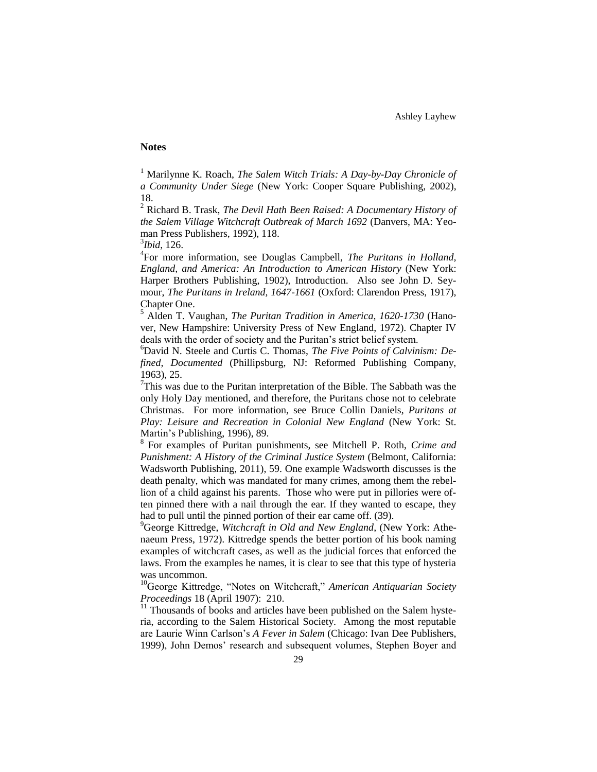Ashley Layhew

### **Notes**

<sup>1</sup> Marilynne K. Roach, *The Salem Witch Trials: A Day-by-Day Chronicle of a Community Under Siege* (New York: Cooper Square Publishing, 2002), 18.

<sup>2</sup> Richard B. Trask, *The Devil Hath Been Raised: A Documentary History of the Salem Village Witchcraft Outbreak of March 1692* (Danvers, MA: Yeoman Press Publishers, 1992), 118.

3 *Ibid*, 126.

4 For more information, see Douglas Campbell, *The Puritans in Holland, England, and America: An Introduction to American History* (New York: Harper Brothers Publishing, 1902), Introduction. Also see John D. Seymour, *The Puritans in Ireland, 1647-1661* (Oxford: Clarendon Press, 1917), Chapter One.

<sup>5</sup> Alden T. Vaughan, *The Puritan Tradition in America, 1620-1730* (Hanover, New Hampshire: University Press of New England, 1972). Chapter IV deals with the order of society and the Puritan's strict belief system.

<sup>6</sup>David N. Steele and Curtis C. Thomas, *The Five Points of Calvinism: Defined, Documented* (Phillipsburg, NJ: Reformed Publishing Company, 1963), 25.

 $7$ This was due to the Puritan interpretation of the Bible. The Sabbath was the only Holy Day mentioned, and therefore, the Puritans chose not to celebrate Christmas. For more information, see Bruce Collin Daniels, *Puritans at Play: Leisure and Recreation in Colonial New England* (New York: St. Martin's Publishing, 1996), 89.

8 For examples of Puritan punishments, see Mitchell P. Roth, *Crime and Punishment: A History of the Criminal Justice System* (Belmont, California: Wadsworth Publishing, 2011), 59. One example Wadsworth discusses is the death penalty, which was mandated for many crimes, among them the rebellion of a child against his parents. Those who were put in pillories were often pinned there with a nail through the ear. If they wanted to escape, they had to pull until the pinned portion of their ear came off. (39).

<sup>9</sup>George Kittredge, *Witchcraft in Old and New England*, (New York: Athenaeum Press, 1972). Kittredge spends the better portion of his book naming examples of witchcraft cases, as well as the judicial forces that enforced the laws. From the examples he names, it is clear to see that this type of hysteria was uncommon.

<sup>10</sup>George Kittredge, "Notes on Witchcraft," *American Antiquarian Society Proceedings* 18 (April 1907): 210.

 $11$  Thousands of books and articles have been published on the Salem hysteria, according to the Salem Historical Society. Among the most reputable are Laurie Winn Carlson's *A Fever in Salem* (Chicago: Ivan Dee Publishers, 1999), John Demos' research and subsequent volumes, Stephen Boyer and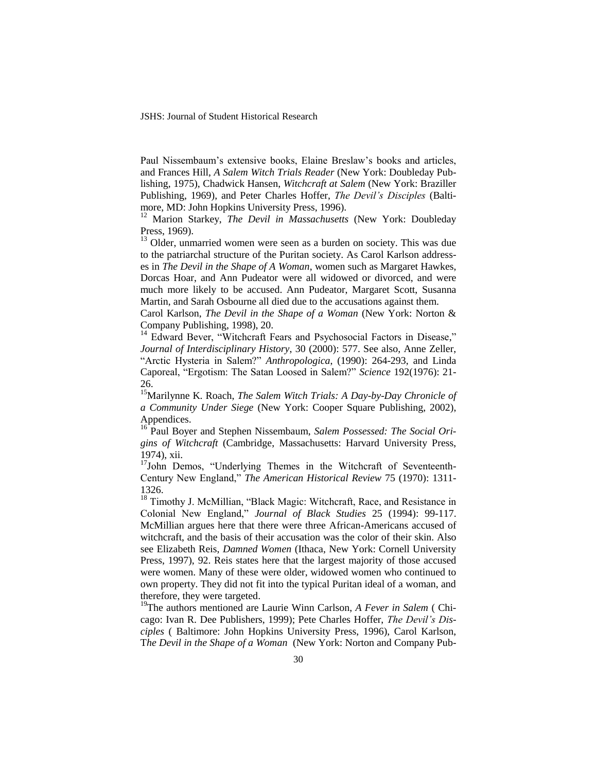Paul Nissembaum's extensive books, Elaine Breslaw's books and articles, and Frances Hill, *A Salem Witch Trials Reader* (New York: Doubleday Publishing, 1975), Chadwick Hansen, *Witchcraft at Salem* (New York: Braziller Publishing, 1969), and Peter Charles Hoffer, *The Devil's Disciples* (Baltimore, MD: John Hopkins University Press, 1996).

<sup>12</sup> Marion Starkey, *The Devil in Massachusetts* (New York: Doubleday Press, 1969).

<sup>13</sup> Older, unmarried women were seen as a burden on society. This was due to the patriarchal structure of the Puritan society. As Carol Karlson addresses in *The Devil in the Shape of A Woman*, women such as Margaret Hawkes, Dorcas Hoar, and Ann Pudeator were all widowed or divorced, and were much more likely to be accused. Ann Pudeator, Margaret Scott, Susanna Martin, and Sarah Osbourne all died due to the accusations against them.

Carol Karlson, *The Devil in the Shape of a Woman* (New York: Norton & Company Publishing, 1998), 20.

<sup>14</sup> Edward Bever, "Witchcraft Fears and Psychosocial Factors in Disease," *Journal of Interdisciplinary History*, 30 (2000): 577. See also, Anne Zeller, "Arctic Hysteria in Salem?" *Anthropologica*, (1990): 264-293, and Linda Caporeal, "Ergotism: The Satan Loosed in Salem?" *Science* 192(1976): 21- 26.

<sup>15</sup>Marilynne K. Roach, *The Salem Witch Trials: A Day-by-Day Chronicle of a Community Under Siege* (New York: Cooper Square Publishing, 2002), Appendices.

<sup>16</sup> Paul Boyer and Stephen Nissembaum, *Salem Possessed: The Social Origins of Witchcraft* (Cambridge, Massachusetts: Harvard University Press, 1974), xii.

<sup>17</sup>John Demos, "Underlying Themes in the Witchcraft of Seventeenth-Century New England," *The American Historical Review* 75 (1970): 1311- 1326.

<sup>18</sup> Timothy J. McMillian, "Black Magic: Witchcraft, Race, and Resistance in Colonial New England," *Journal of Black Studies* 25 (1994): 99-117. McMillian argues here that there were three African-Americans accused of witchcraft, and the basis of their accusation was the color of their skin. Also see Elizabeth Reis, *Damned Women* (Ithaca, New York: Cornell University Press, 1997), 92. Reis states here that the largest majority of those accused were women. Many of these were older, widowed women who continued to own property. They did not fit into the typical Puritan ideal of a woman, and therefore, they were targeted.

<sup>19</sup>The authors mentioned are Laurie Winn Carlson, *A Fever in Salem* ( Chicago: Ivan R. Dee Publishers, 1999); Pete Charles Hoffer, *The Devil's Disciples* ( Baltimore: John Hopkins University Press, 1996), Carol Karlson, T*he Devil in the Shape of a Woman* (New York: Norton and Company Pub-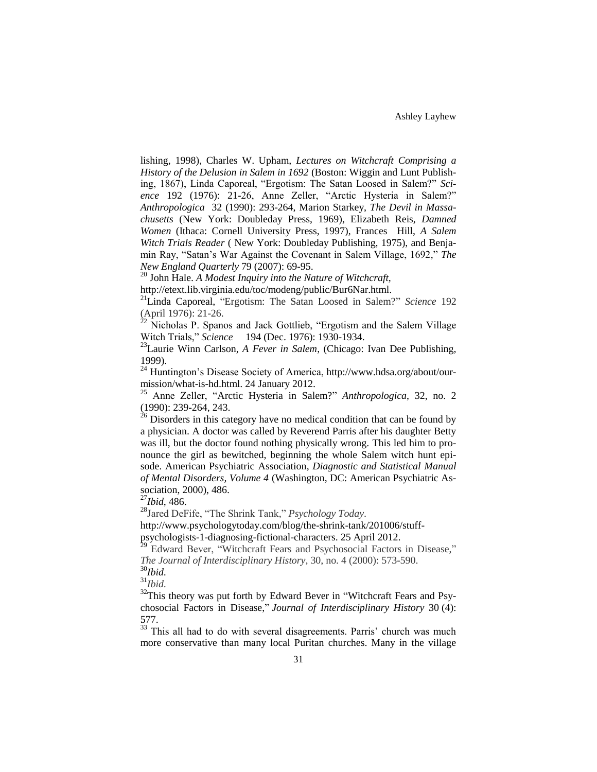lishing, 1998), Charles W. Upham, *Lectures on Witchcraft Comprising a History of the Delusion in Salem in 1692* (Boston: Wiggin and Lunt Publishing, 1867), Linda Caporeal, "Ergotism: The Satan Loosed in Salem?" *Science* 192 (1976): 21-26, Anne Zeller, "Arctic Hysteria in Salem?" *Anthropologica* 32 (1990): 293-264, Marion Starkey, *The Devil in Massachusetts* (New York: Doubleday Press, 1969), Elizabeth Reis, *Damned Women* (Ithaca: Cornell University Press, 1997), Frances Hill, *A Salem Witch Trials Reader* ( New York: Doubleday Publishing, 1975), and Benjamin Ray, "Satan's War Against the Covenant in Salem Village, 1692," *The New England Quarterly* 79 (2007): 69-95.

<sup>20</sup> John Hale. *A Modest Inquiry into the Nature of Witchcraft,* 

[ht](http://etext.lib.virginia.edu/toc/modeng/public/Bur6Nar.html)t[p://etext.lib.virginia.edu/toc/modeng/public/Bur6Nar.html.](http://etext.lib.virginia.edu/toc/modeng/public/Bur6Nar.html) 

<sup>21</sup>Linda Caporeal, "Ergotism: The Satan Loosed in Salem?" *Science* 192 (April 1976): 21-26.

 $22$  Nicholas P. Spanos and Jack Gottlieb, "Ergotism and the Salem Village Witch Trials," *Science* 194 (Dec. 1976): 1930-1934.

<sup>23</sup>Laurie Winn Carlson, *A Fever in Salem*, (Chicago: Ivan Dee Publishing, 1999).

<sup>24</sup> Huntington's Disease Society of America, [http://www.hdsa.org/about/our](http://www.hdsa.org/about/our-mission/what-is-hd.html)[mission/what-is-hd.html.](http://www.hdsa.org/about/our-mission/what-is-hd.html) 24 January 2012.

<sup>25</sup> Anne Zeller, "Arctic Hysteria in Salem?" *Anthropologica*, 32, no. 2 (1990): 239-264, 243.

 $^{26}$  Disorders in this category have no medical condition that can be found by a physician. A doctor was called by Reverend Parris after his daughter Betty was ill, but the doctor found nothing physically wrong. This led him to pronounce the girl as bewitched, beginning the whole Salem witch hunt episode. American Psychiatric Association, *Diagnostic and Statistical Manual of Mental Disorders, Volume 4* (Washington, DC: American Psychiatric Association, 2000), 486.

<sup>27</sup>*Ibid*, 486.

<sup>28</sup>Jared DeFife, "The Shrink Tank," *Psychology Today*.

http://www.psychologytoday.com/blog/the-shrink-tank/201006/stuffpsychologists-1-diagnosing-fictional-characters. 25 April 2012.

<sup>29</sup> Edward Bever, "Witchcraft Fears and Psychosocial Factors in Disease," *The Journal of Interdisciplinary History*, 30, no. 4 (2000): 573-590.

<sup>30</sup>*Ibid*.

 $31$ *Ibid.* 

<sup>32</sup>This theory was put forth by Edward Bever in "Witchcraft Fears and Psychosocial Factors in Disease," *Journal of Interdisciplinary History* 30 (4): 577.

<sup>33</sup> This all had to do with several disagreements. Parris' church was much more conservative than many local Puritan churches. Many in the village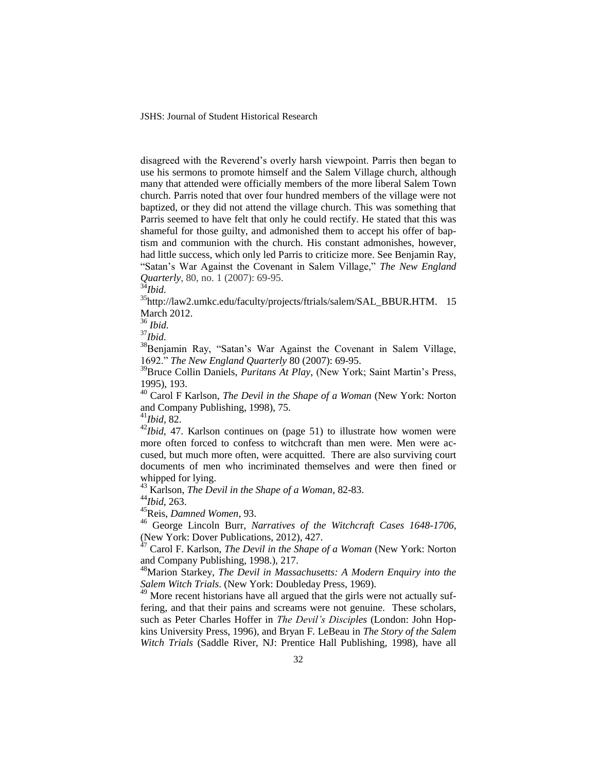disagreed with the Reverend's overly harsh viewpoint. Parris then began to use his sermons to promote himself and the Salem Village church, although many that attended were officially members of the more liberal Salem Town church. Parris noted that over four hundred members of the village were not baptized, or they did not attend the village church. This was something that Parris seemed to have felt that only he could rectify. He stated that this was shameful for those guilty, and admonished them to accept his offer of baptism and communion with the church. His constant admonishes, however, had little success, which only led Parris to criticize more. See Benjamin Ray, "Satan's War Against the Covenant in Salem Village," *The New England Quarterly*, 80, no. 1 (2007): 69-95.

<sup>34</sup>*Ibid*.

<sup>35</sup>[http://law2.umkc.edu/faculty/projects/ftrials/salem/SAL\\_BBUR.HTM.](http://law2.umkc.edu/faculty/projects/ftrials/salem/SAL_BBUR.HTM) 15 March 2012.

<sup>36</sup> *Ibid*.

<sup>37</sup>*Ibid*.

<sup>38</sup>Benjamin Ray, "Satan's War Against the Covenant in Salem Village, 1692." *The New England Quarterly* 80 (2007): 69-95.

<sup>39</sup>Bruce Collin Daniels, *Puritans At Play*, (New York; Saint Martin's Press, 1995), 193.

<sup>40</sup> Carol F Karlson, *The Devil in the Shape of a Woman* (New York: Norton and Company Publishing, 1998), 75.

<sup>41</sup>*Ibid,* 82.

<sup>42</sup>*Ibid*, 47. Karlson continues on (page 51) to illustrate how women were more often forced to confess to witchcraft than men were. Men were accused, but much more often, were acquitted. There are also surviving court documents of men who incriminated themselves and were then fined or whipped for lying.

<sup>43</sup> Karlson, *The Devil in the Shape of a Woman*, 82-83.

<sup>44</sup>*Ibid*, 263.

<sup>45</sup>Reis, *Damned Women*, 93.

<sup>46</sup> George Lincoln Burr, *Narratives of the Witchcraft Cases 1648-1706*, (New York: Dover Publications, 2012), 427.

<sup>47</sup> Carol F. Karlson, *The Devil in the Shape of a Woman* (New York: Norton and Company Publishing, 1998.), 217.

<sup>48</sup>Marion Starkey, *The Devil in Massachusetts: A Modern Enquiry into the Salem Witch Trials*. (New York: Doubleday Press, 1969).

 $49$  More recent historians have all argued that the girls were not actually suffering, and that their pains and screams were not genuine. These scholars, such as Peter Charles Hoffer in *The Devil's Disciples* (London: John Hopkins University Press, 1996), and Bryan F. LeBeau in *The Story of the Salem Witch Trials* (Saddle River, NJ: Prentice Hall Publishing, 1998), have all